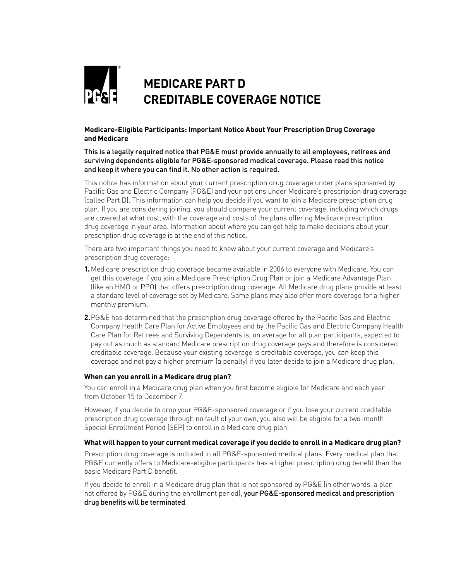

# **Medicare-Eligible Participants: Important Notice About Your Prescription Drug Coverage and Medicare**

This is a legally required notice that PG&E must provide annually to all employees, retirees and surviving dependents eligible for PG&E-sponsored medical coverage. Please read this notice and keep it where you can find it. No other action is required.

This notice has information about your current prescription drug coverage under plans sponsored by Pacific Gas and Electric Company (PG&E) and your options under Medicare's prescription drug coverage (called Part D). This information can help you decide if you want to join a Medicare prescription drug plan. If you are considering joining, you should compare your current coverage, including which drugs are covered at what cost, with the coverage and costs of the plans offering Medicare prescription drug coverage in your area. Information about where you can get help to make decisions about your prescription drug coverage is at the end of this notice.

There are two important things you need to know about your current coverage and Medicare's prescription drug coverage:

- **1.**Medicare prescription drug coverage became available in 2006 to everyone with Medicare. You can get this coverage if you join a Medicare Prescription Drug Plan or join a Medicare Advantage Plan (like an HMO or PPO) that offers prescription drug coverage. All Medicare drug plans provide at least a standard level of coverage set by Medicare. Some plans may also offer more coverage for a higher monthly premium.
- **2.**PG&E has determined that the prescription drug coverage offered by the Pacific Gas and Electric Company Health Care Plan for Active Employees and by the Pacific Gas and Electric Company Health Care Plan for Retirees and Surviving Dependents is, on average for all plan participants, expected to pay out as much as standard Medicare prescription drug coverage pays and therefore is considered creditable coverage. Because your existing coverage is creditable coverage, you can keep this coverage and not pay a higher premium (a penalty) if you later decide to join a Medicare drug plan.

### **When can you enroll in a Medicare drug plan?**

You can enroll in a Medicare drug plan when you first become eligible for Medicare and each year from October 15 to December 7.

However, if you decide to drop your PG&E-sponsored coverage or if you lose your current creditable prescription drug coverage through no fault of your own, you also will be eligible for a two-month Special Enrollment Period (SEP) to enroll in a Medicare drug plan.

### **What will happen to your current medical coverage if you decide to enroll in a Medicare drug plan?**

Prescription drug coverage is included in all PG&E-sponsored medical plans. Every medical plan that PG&E currently offers to Medicare-eligible participants has a higher prescription drug benefit than the basic Medicare Part D benefit.

If you decide to enroll in a Medicare drug plan that is not sponsored by PG&E (in other words, a plan not offered by PG&E during the enrollment period), your PG&E-sponsored medical and prescription drug benefits will be terminated.